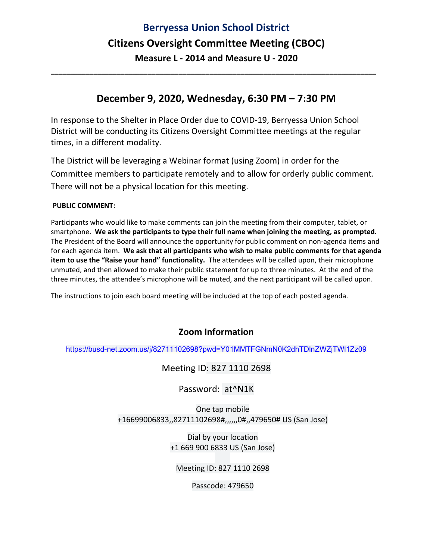## **Berryessa Union School District Citizens Oversight Committee Meeting (CBOC) Measure L ‐ 2014 and Measure U ‐ 2020**

### **December 9, 2020, Wednesday, 6:30 PM – 7:30 PM**

**\_\_\_\_\_\_\_\_\_\_\_\_\_\_\_\_\_\_\_\_\_\_\_\_\_\_\_\_\_\_\_\_\_\_\_\_\_\_\_\_\_\_\_\_\_\_\_\_\_\_\_\_\_\_\_\_\_\_\_\_\_\_\_\_\_\_\_\_\_\_\_\_\_\_\_\_\_\_\_\_\_\_\_\_** 

In response to the Shelter in Place Order due to COVID‐19, Berryessa Union School District will be conducting its Citizens Oversight Committee meetings at the regular times, in a different modality.

The District will be leveraging a Webinar format (using Zoom) in order for the Committee members to participate remotely and to allow for orderly public comment. There will not be a physical location for this meeting.

#### **PUBLIC COMMENT:**

Participants who would like to make comments can join the meeting from their computer, tablet, or smartphone. **We ask the participants to type their full name when joining the meeting, as prompted.** The President of the Board will announce the opportunity for public comment on non‐agenda items and for each agenda item. **We ask that all participants who wish to make public comments for that agenda item to use the "Raise your hand" functionality.** The attendees will be called upon, their microphone unmuted, and then allowed to make their public statement for up to three minutes. At the end of the three minutes, the attendee's microphone will be muted, and the next participant will be called upon.

The instructions to join each board meeting will be included at the top of each posted agenda.

#### **Zoom Information**

https://busd-net.zoom.us/j/82711102698?pwd=Y01MMTFGNmN0K2dhTDlnZWZjTWl1Zz09

Meeting ID: 827 1110 2698

Password: at^N1K

One tap mobile +16699006833,,82711102698#,,,,,,0#,,479650# US (San Jose)

> Dial by your location +1 669 900 6833 US (San Jose)

Meeting ID: 827 1110 2698

Passcode: 479650